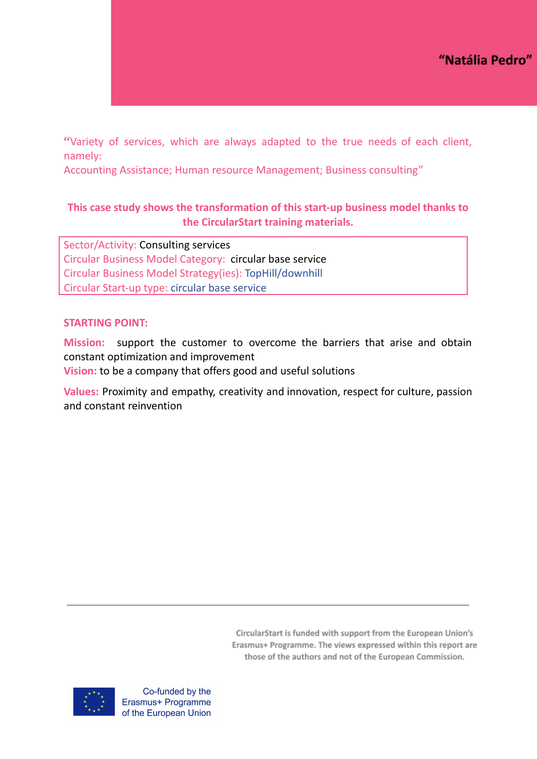"Variety of services, which are always adapted to the true needs of each client, namely:

Accounting Assistance; Human resource Management; Business consulting"

# **This case study shows the transformation of this start-up business model thanks to the CircularStart training materials.**

Sector/Activity: Consulting services Circular Business Model Category: circular base service Circular Business Model Strategy(ies): TopHill/downhill Circular Start-up type: circular base service

## **STARTING POINT:**

**Mission:** support the customer to overcome the barriers that arise and obtain constant optimization and improvement **Vision:** to be a company that offers good and useful solutions

**Values:** Proximity and empathy, creativity and innovation, respect for culture, passion and constant reinvention

> CircularStart is funded with support from the European Union's Erasmus+ Programme. The views expressed within this report are those of the authors and not of the European Commission.

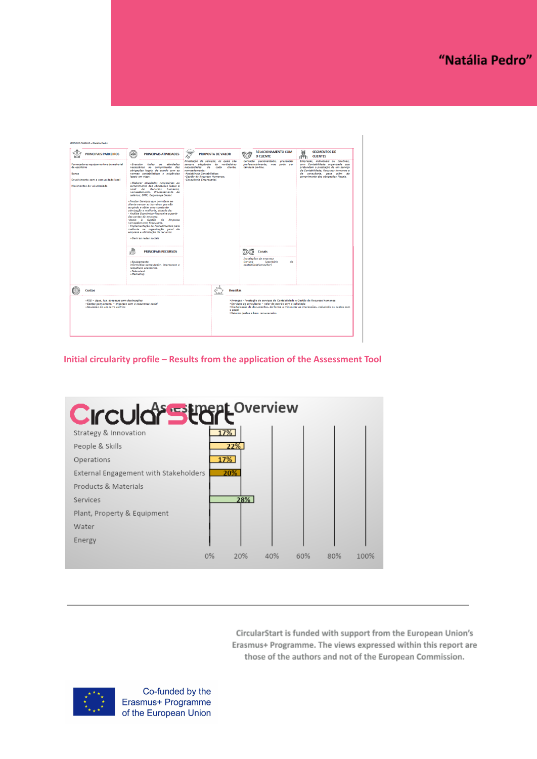| <b>PRINCIPALS PARCEIROS</b>                                                                                                            | <b>LIDR</b><br><b>PRINCIPAIS ATIVIDADES</b>                                                                                                                                                                                                                                                                                                                                                                                                                                                                                                                                                                                                                                                                                                                                                                                                                                                                                                             | 111,<br>ড্য<br>∧                                                                                                                                                                                            | <b>PROPOSTA DE VALOR</b> | O CLIENTE                                                                                                                                                            | <b>RELACIONAMENTO COM</b> | 鬲<br><b>SEGMENTOS DE</b><br><b>CLIENTES</b>                                                                                                                                                                                   |
|----------------------------------------------------------------------------------------------------------------------------------------|---------------------------------------------------------------------------------------------------------------------------------------------------------------------------------------------------------------------------------------------------------------------------------------------------------------------------------------------------------------------------------------------------------------------------------------------------------------------------------------------------------------------------------------------------------------------------------------------------------------------------------------------------------------------------------------------------------------------------------------------------------------------------------------------------------------------------------------------------------------------------------------------------------------------------------------------------------|-------------------------------------------------------------------------------------------------------------------------------------------------------------------------------------------------------------|--------------------------|----------------------------------------------------------------------------------------------------------------------------------------------------------------------|---------------------------|-------------------------------------------------------------------------------------------------------------------------------------------------------------------------------------------------------------------------------|
| Fornecedores equipamento e de material<br>de escritório<br>Banca<br>Envolvimento com a comunidade local<br>Movimentos de voluntariado  | »Executar<br>todas<br>atividades<br>3.5<br>necessárias ao cumprimento das<br>obrigações legais, de acordo com as<br>normas contabilisticas e exigências<br>legais em vigor.<br>»Elaborar atividades necessárias ao<br>cumprimento das obrigações legais a<br>nivel de Recursos humanos,<br>nomeadamente. Processamento de<br>salários: DMR, Segurança Social,<br>»Prestar Servicos que permitem ao<br>cliente vencer as barreiras que vão<br>surgindo e obter uma constante<br>otimização e melhoria, através de:<br>- Análise Económico-financeira a partir<br>das contas da empresa.<br>-Apoio à Gestão da Empresa<br>nomeadamente Tesouraria.<br>- Implementação de Procedimentos para<br>melhoria na organização geral da<br>empresa e otimização de recursos.<br>-Gerir as redes sociais<br>аο<br><b>PRINCIPAIS RECURSOS</b><br>īж<br>»Equipamento<br>informático:computador, impressora e<br>respetivos acessórios.<br>>Telemóvel.<br>»Marketing. | Prrestação de serviços, os quais são<br>sempre adaptados às verdadeiras<br>necessidades<br>de<br>nomeadamente:<br>-Assistência Contabilistica:<br>-Gestão de Recursos Humanos:<br>-Consultoria Empresarial. | cada<br>cliente.         | Contacto personalizado, presencial<br>preferencialmente, mas pode ser<br>também on-line.<br>Canais<br>Instalações da empresa<br>$On-line$<br>contabilista/consultor) | <i>(escritório</i><br>do  | Empresas, individuais ou coletivas,<br>com Contabilidade organizada que<br>pretendam a prestação de um servico<br>de Contabilidade, Recursos humanos e<br>de consultoria, para além do<br>cumprimento das obrigações Fiscais. |
| Custos                                                                                                                                 |                                                                                                                                                                                                                                                                                                                                                                                                                                                                                                                                                                                                                                                                                                                                                                                                                                                                                                                                                         |                                                                                                                                                                                                             |                          | <b>Receitas</b>                                                                                                                                                      |                           |                                                                                                                                                                                                                               |
| »FSE - água, luz, despesas com deslocações<br>»Gastos com pessoal - encargos com a segurança social<br>»Aquisição de um carro elétrico |                                                                                                                                                                                                                                                                                                                                                                                                                                                                                                                                                                                                                                                                                                                                                                                                                                                                                                                                                         |                                                                                                                                                                                                             | o papel                  | »Serviços de consultoria - valor de acordo com o solicitado<br>»Salários justos e bem remunerados                                                                    |                           | »Avencas - Prestação de servicos de Contabilidade e Gestão de Recursos humanos<br>»Digitalização de documentos, de forma a minimizar as impressões, reduzindo os custos com                                                   |

**Initial circularity profile – Results from the application of the Assessment Tool**



CircularStart is funded with support from the European Union's Erasmus+ Programme. The views expressed within this report are those of the authors and not of the European Commission.

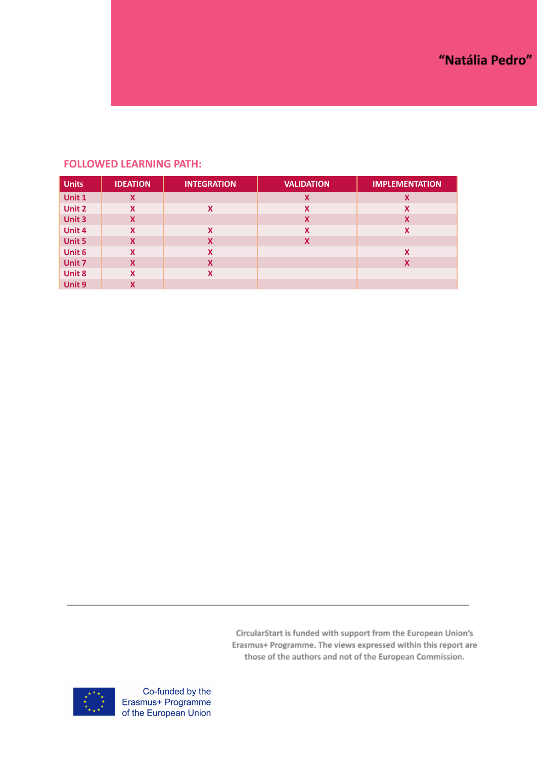## **FOLLOWED LEARNING PATH:**

| <b>Units</b> | <b>IDEATION</b> | <b>INTEGRATION</b>        | <b>VALIDATION</b> | <b>IMPLEMENTATION</b> |
|--------------|-----------------|---------------------------|-------------------|-----------------------|
| Unit 1       | X               |                           | X                 | X                     |
| Unit 2       | X               | X                         | X                 | X                     |
| Unit 3       | X               |                           | X                 | X                     |
| Unit 4       | X               | X                         | X                 | X                     |
| Unit 5       | X               | X                         | X                 |                       |
| Unit 6       | x               | X                         |                   | X                     |
| Unit 7       | X               | $\boldsymbol{\mathsf{x}}$ |                   | X                     |
| Unit 8       | x               | X                         |                   |                       |
| Unit 9       | Χ               |                           |                   |                       |

CircularStart is funded with support from the European Union's Erasmus+ Programme. The views expressed within this report are those of the authors and not of the European Commission.

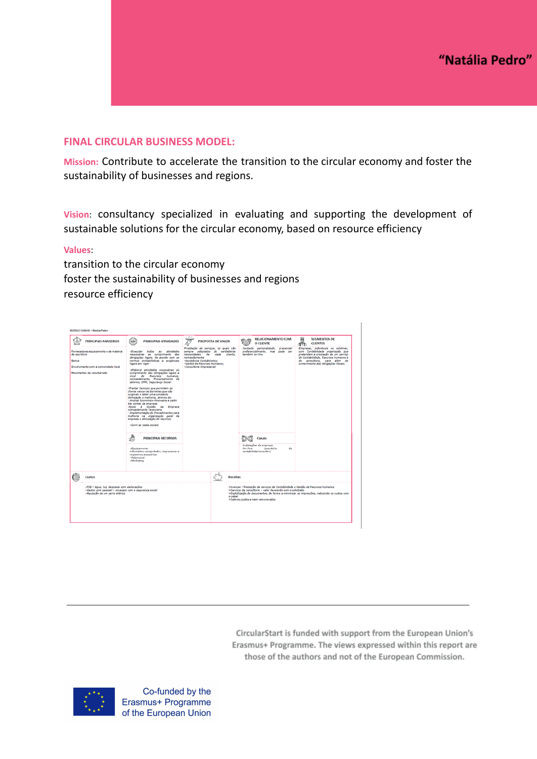### **FINAL CIRCULAR BUSINESS MODEL:**

**Mission:** Contribute to accelerate the transition to the circular economy and foster the sustainability of businesses and regions.

**Vision**: consultancy specialized in evaluating and supporting the development of sustainable solutions for the circular economy, based on resource efficiency

#### **Values**:

transition to the circular economy foster the sustainability of businesses and regions resource efficiency



CircularStart is funded with support from the European Union's Erasmus+ Programme. The views expressed within this report are those of the authors and not of the European Commission.

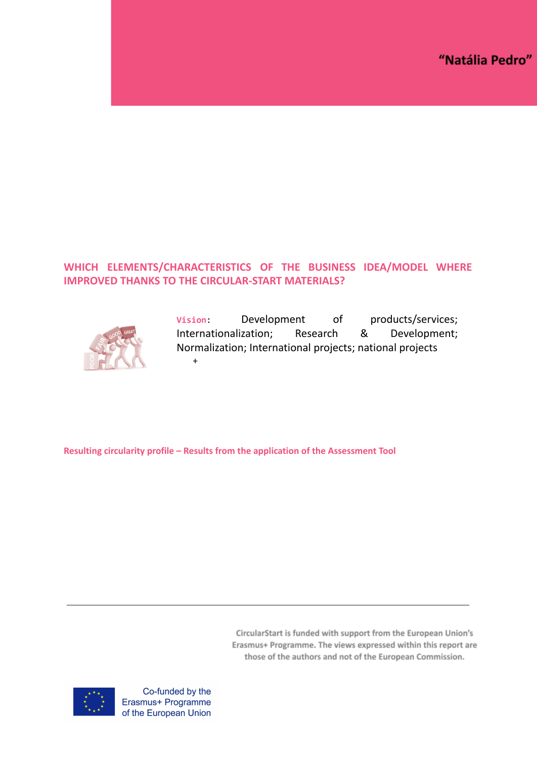# **WHICH ELEMENTS/CHARACTERISTICS OF THE BUSINESS IDEA/MODEL WHERE IMPROVED THANKS TO THE CIRCULAR-START MATERIALS?**



**Vision**: Development of products/services; Internationalization; Research & Development; Normalization; International projects; national projects +

**Resulting circularity profile – Results from the application of the Assessment Tool**

CircularStart is funded with support from the European Union's Erasmus+ Programme. The views expressed within this report are those of the authors and not of the European Commission.

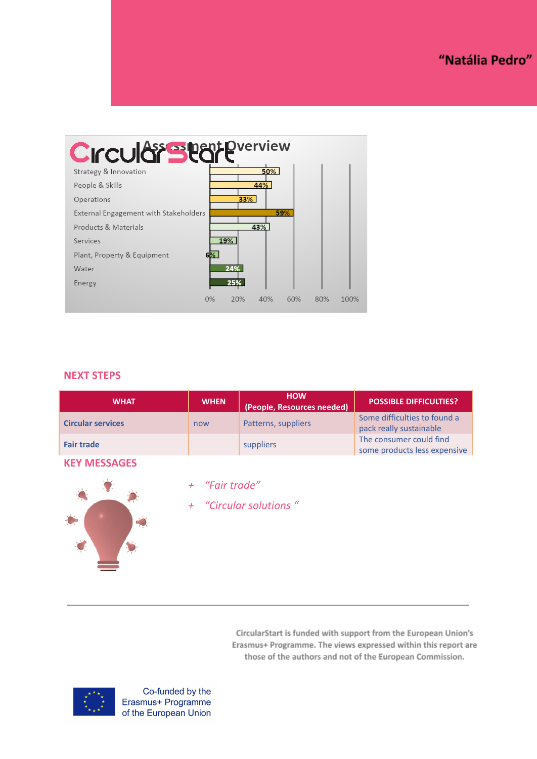

## **NEXT STEPS**

| <b>WHAT</b>              | <b>WHEN</b> | <b>HOW</b><br>(People, Resources needed) | <b>POSSIBLE DIFFICULTIES?</b>                           |
|--------------------------|-------------|------------------------------------------|---------------------------------------------------------|
| <b>Circular services</b> | now         | Patterns, suppliers                      | Some difficulties to found a<br>pack really sustainable |
| <b>Fair trade</b>        |             | suppliers                                | The consumer could find<br>some products less expensive |

### **KEY MESSAGES**

- *+ "Fair trade"*
- *+ "Circular solutions "*